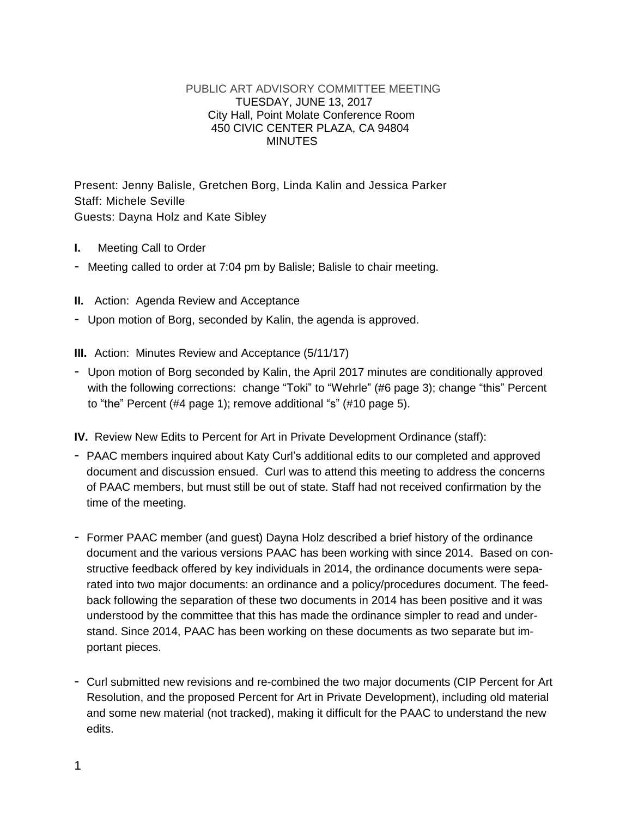## PUBLIC ART ADVISORY COMMITTEE MEETING TUESDAY, JUNE 13, 2017 City Hall, Point Molate Conference Room 450 CIVIC CENTER PLAZA, CA 94804 MINUTES

Present: Jenny Balisle, Gretchen Borg, Linda Kalin and Jessica Parker Staff: Michele Seville Guests: Dayna Holz and Kate Sibley

- **I.** Meeting Call to Order
- Meeting called to order at 7:04 pm by Balisle; Balisle to chair meeting.
- **II.** Action: Agenda Review and Acceptance
- Upon motion of Borg, seconded by Kalin, the agenda is approved.
- **III.** Action: Minutes Review and Acceptance (5/11/17)
- Upon motion of Borg seconded by Kalin, the April 2017 minutes are conditionally approved with the following corrections: change "Toki" to "Wehrle" (#6 page 3); change "this" Percent to "the" Percent (#4 page 1); remove additional "s" (#10 page 5).

**IV.** Review New Edits to Percent for Art in Private Development Ordinance (staff):

- PAAC members inquired about Katy Curl's additional edits to our completed and approved document and discussion ensued. Curl was to attend this meeting to address the concerns of PAAC members, but must still be out of state. Staff had not received confirmation by the time of the meeting.
- Former PAAC member (and guest) Dayna Holz described a brief history of the ordinance document and the various versions PAAC has been working with since 2014. Based on constructive feedback offered by key individuals in 2014, the ordinance documents were separated into two major documents: an ordinance and a policy/procedures document. The feedback following the separation of these two documents in 2014 has been positive and it was understood by the committee that this has made the ordinance simpler to read and understand. Since 2014, PAAC has been working on these documents as two separate but important pieces.
- Curl submitted new revisions and re-combined the two major documents (CIP Percent for Art Resolution, and the proposed Percent for Art in Private Development), including old material and some new material (not tracked), making it difficult for the PAAC to understand the new edits.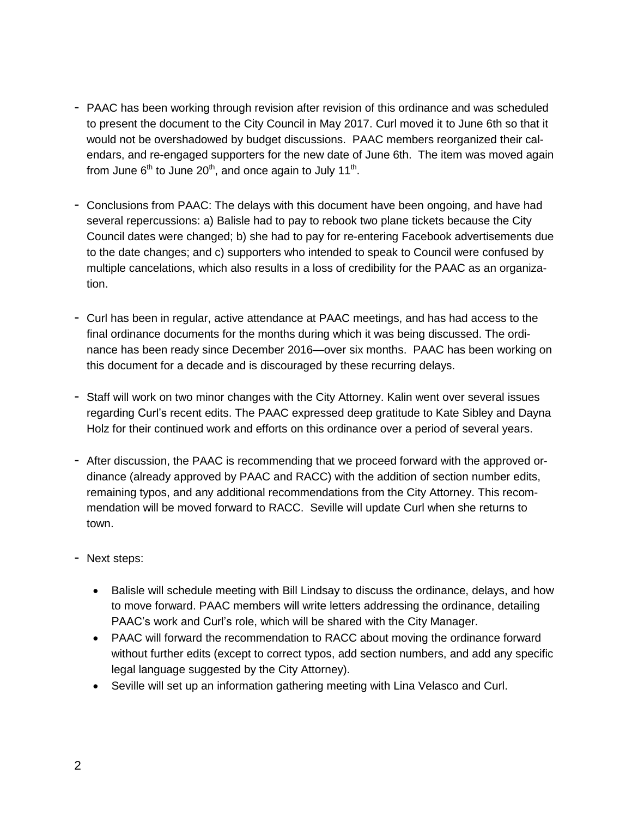- PAAC has been working through revision after revision of this ordinance and was scheduled to present the document to the City Council in May 2017. Curl moved it to June 6th so that it would not be overshadowed by budget discussions. PAAC members reorganized their calendars, and re-engaged supporters for the new date of June 6th. The item was moved again from June 6<sup>th</sup> to June 20<sup>th</sup>, and once again to July 11<sup>th</sup>.
- Conclusions from PAAC: The delays with this document have been ongoing, and have had several repercussions: a) Balisle had to pay to rebook two plane tickets because the City Council dates were changed; b) she had to pay for re-entering Facebook advertisements due to the date changes; and c) supporters who intended to speak to Council were confused by multiple cancelations, which also results in a loss of credibility for the PAAC as an organization.
- Curl has been in regular, active attendance at PAAC meetings, and has had access to the final ordinance documents for the months during which it was being discussed. The ordinance has been ready since December 2016—over six months. PAAC has been working on this document for a decade and is discouraged by these recurring delays.
- Staff will work on two minor changes with the City Attorney. Kalin went over several issues regarding Curl's recent edits. The PAAC expressed deep gratitude to Kate Sibley and Dayna Holz for their continued work and efforts on this ordinance over a period of several years.
- After discussion, the PAAC is recommending that we proceed forward with the approved ordinance (already approved by PAAC and RACC) with the addition of section number edits, remaining typos, and any additional recommendations from the City Attorney. This recommendation will be moved forward to RACC. Seville will update Curl when she returns to town.
- Next steps:
	- Balisle will schedule meeting with Bill Lindsay to discuss the ordinance, delays, and how to move forward. PAAC members will write letters addressing the ordinance, detailing PAAC's work and Curl's role, which will be shared with the City Manager.
	- PAAC will forward the recommendation to RACC about moving the ordinance forward without further edits (except to correct typos, add section numbers, and add any specific legal language suggested by the City Attorney).
	- Seville will set up an information gathering meeting with Lina Velasco and Curl.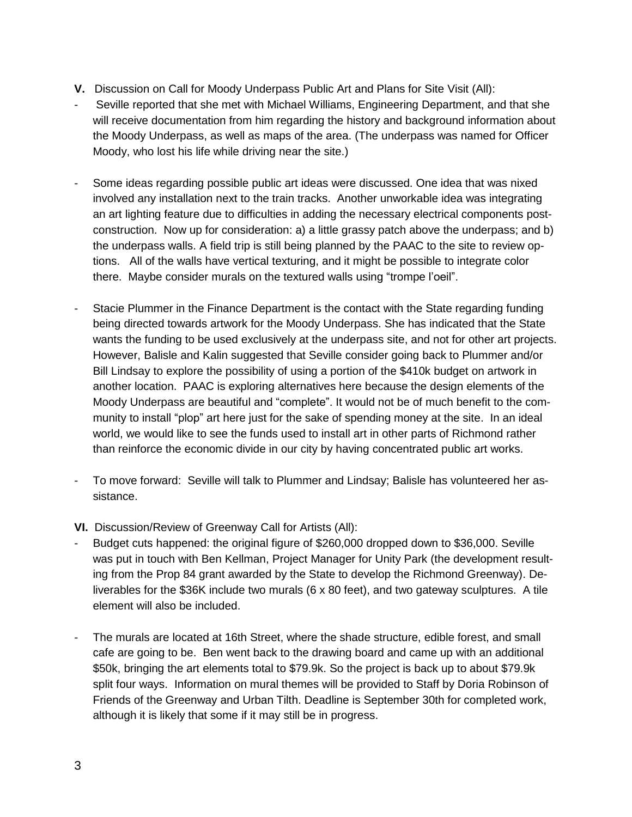- **V.** Discussion on Call for Moody Underpass Public Art and Plans for Site Visit (All):
- Seville reported that she met with Michael Williams, Engineering Department, and that she will receive documentation from him regarding the history and background information about the Moody Underpass, as well as maps of the area. (The underpass was named for Officer Moody, who lost his life while driving near the site.)
- Some ideas regarding possible public art ideas were discussed. One idea that was nixed involved any installation next to the train tracks. Another unworkable idea was integrating an art lighting feature due to difficulties in adding the necessary electrical components postconstruction. Now up for consideration: a) a little grassy patch above the underpass; and b) the underpass walls. A field trip is still being planned by the PAAC to the site to review options. All of the walls have vertical texturing, and it might be possible to integrate color there. Maybe consider murals on the textured walls using "trompe l'oeil".
- Stacie Plummer in the Finance Department is the contact with the State regarding funding being directed towards artwork for the Moody Underpass. She has indicated that the State wants the funding to be used exclusively at the underpass site, and not for other art projects. However, Balisle and Kalin suggested that Seville consider going back to Plummer and/or Bill Lindsay to explore the possibility of using a portion of the \$410k budget on artwork in another location. PAAC is exploring alternatives here because the design elements of the Moody Underpass are beautiful and "complete". It would not be of much benefit to the community to install "plop" art here just for the sake of spending money at the site. In an ideal world, we would like to see the funds used to install art in other parts of Richmond rather than reinforce the economic divide in our city by having concentrated public art works.
- To move forward: Seville will talk to Plummer and Lindsay; Balisle has volunteered her assistance.
- **VI.** Discussion/Review of Greenway Call for Artists (All):
- Budget cuts happened: the original figure of \$260,000 dropped down to \$36,000. Seville was put in touch with Ben Kellman, Project Manager for Unity Park (the development resulting from the Prop 84 grant awarded by the State to develop the Richmond Greenway). Deliverables for the \$36K include two murals (6 x 80 feet), and two gateway sculptures. A tile element will also be included.
- The murals are located at 16th Street, where the shade structure, edible forest, and small cafe are going to be. Ben went back to the drawing board and came up with an additional \$50k, bringing the art elements total to \$79.9k. So the project is back up to about \$79.9k split four ways. Information on mural themes will be provided to Staff by Doria Robinson of Friends of the Greenway and Urban Tilth. Deadline is September 30th for completed work, although it is likely that some if it may still be in progress.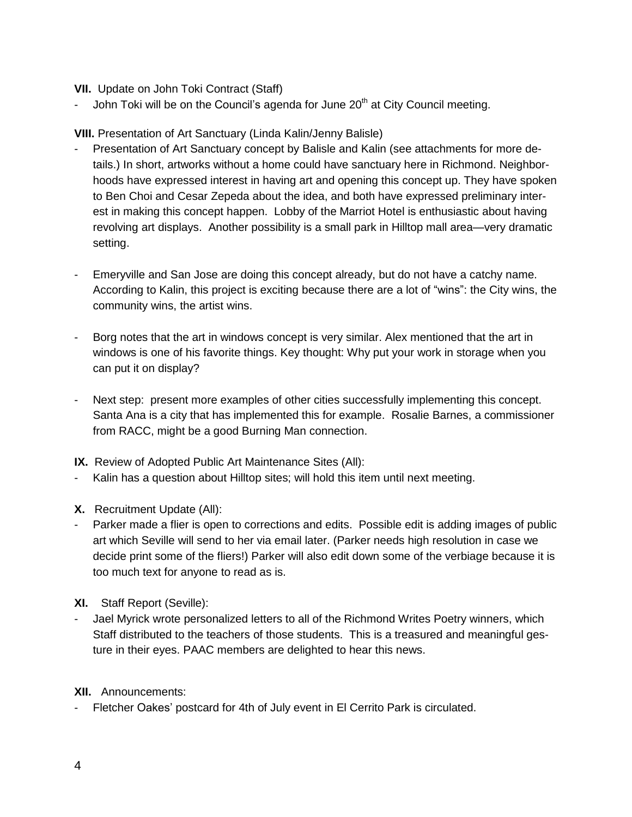## **VII.** Update on John Toki Contract (Staff)

John Toki will be on the Council's agenda for June  $20<sup>th</sup>$  at City Council meeting.

**VIII.** Presentation of Art Sanctuary (Linda Kalin/Jenny Balisle)

- Presentation of Art Sanctuary concept by Balisle and Kalin (see attachments for more details.) In short, artworks without a home could have sanctuary here in Richmond. Neighborhoods have expressed interest in having art and opening this concept up. They have spoken to Ben Choi and Cesar Zepeda about the idea, and both have expressed preliminary interest in making this concept happen. Lobby of the Marriot Hotel is enthusiastic about having revolving art displays. Another possibility is a small park in Hilltop mall area—very dramatic setting.
- Emeryville and San Jose are doing this concept already, but do not have a catchy name. According to Kalin, this project is exciting because there are a lot of "wins": the City wins, the community wins, the artist wins.
- Borg notes that the art in windows concept is very similar. Alex mentioned that the art in windows is one of his favorite things. Key thought: Why put your work in storage when you can put it on display?
- Next step: present more examples of other cities successfully implementing this concept. Santa Ana is a city that has implemented this for example. Rosalie Barnes, a commissioner from RACC, might be a good Burning Man connection.
- **IX.** Review of Adopted Public Art Maintenance Sites (All):
- Kalin has a question about Hilltop sites; will hold this item until next meeting.
- **X.** Recruitment Update (All):
- Parker made a flier is open to corrections and edits. Possible edit is adding images of public art which Seville will send to her via email later. (Parker needs high resolution in case we decide print some of the fliers!) Parker will also edit down some of the verbiage because it is too much text for anyone to read as is.
- **XI.** Staff Report (Seville):
- Jael Myrick wrote personalized letters to all of the Richmond Writes Poetry winners, which Staff distributed to the teachers of those students. This is a treasured and meaningful gesture in their eyes. PAAC members are delighted to hear this news.

## **XII.** Announcements:

- Fletcher Oakes' postcard for 4th of July event in El Cerrito Park is circulated.